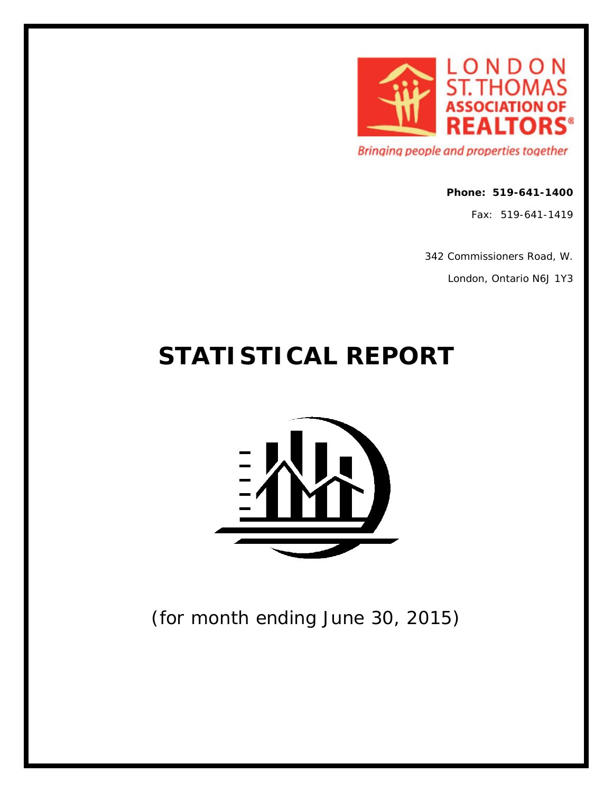

Bringing people and properties together

#### **Phone: 519-641-1400**

Fax: 519-641-1419

342 Commissioners Road, W.

London, Ontario N6J 1Y3

# **STATISTICAL REPORT**



(for month ending June 30, 2015)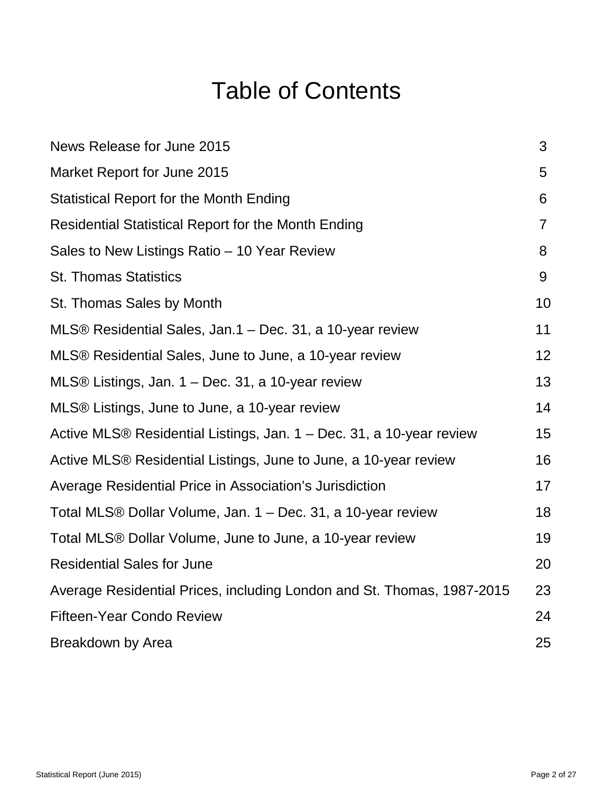# Table of Contents

| News Release for June 2015                                             | 3  |
|------------------------------------------------------------------------|----|
| Market Report for June 2015                                            | 5  |
| <b>Statistical Report for the Month Ending</b>                         | 6  |
| <b>Residential Statistical Report for the Month Ending</b>             | 7  |
| Sales to New Listings Ratio - 10 Year Review                           | 8  |
| <b>St. Thomas Statistics</b>                                           | 9  |
| St. Thomas Sales by Month                                              | 10 |
| MLS® Residential Sales, Jan.1 – Dec. 31, a 10-year review              | 11 |
| MLS® Residential Sales, June to June, a 10-year review                 | 12 |
| MLS® Listings, Jan. $1 - Dec.$ 31, a 10-year review                    | 13 |
| MLS® Listings, June to June, a 10-year review                          | 14 |
| Active MLS® Residential Listings, Jan. 1 – Dec. 31, a 10-year review   | 15 |
| Active MLS® Residential Listings, June to June, a 10-year review       | 16 |
| Average Residential Price in Association's Jurisdiction                | 17 |
| Total MLS® Dollar Volume, Jan. 1 – Dec. 31, a 10-year review           | 18 |
| Total MLS® Dollar Volume, June to June, a 10-year review               | 19 |
| <b>Residential Sales for June</b>                                      | 20 |
| Average Residential Prices, including London and St. Thomas, 1987-2015 | 23 |
| <b>Fifteen-Year Condo Review</b>                                       | 24 |
| Breakdown by Area                                                      | 25 |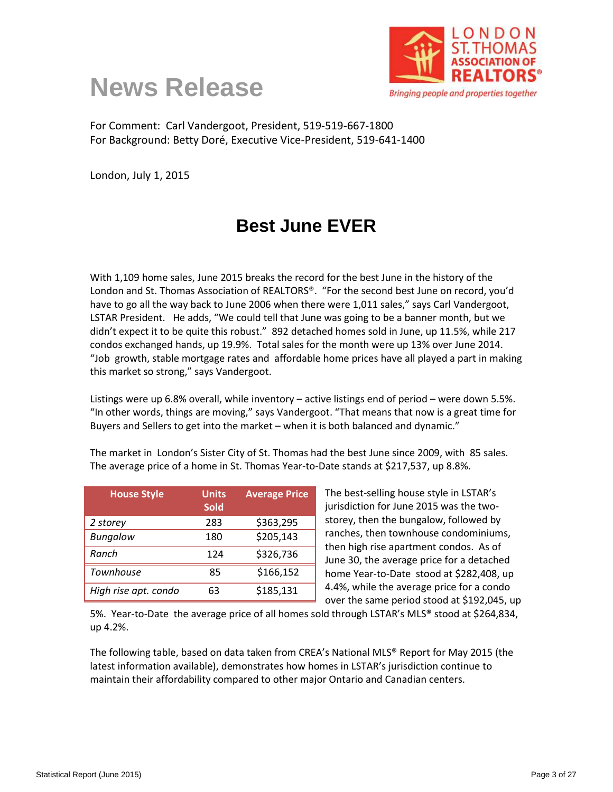



For Comment: Carl Vandergoot, President, 519-519-667-1800 For Background: Betty Doré, Executive Vice-President, 519-641-1400

London, July 1, 2015

# **Best June EVER**

With 1,109 home sales, June 2015 breaks the record for the best June in the history of the London and St. Thomas Association of REALTORS®. "For the second best June on record, you'd have to go all the way back to June 2006 when there were 1,011 sales," says Carl Vandergoot, LSTAR President. He adds, "We could tell that June was going to be a banner month, but we didn't expect it to be quite this robust." 892 detached homes sold in June, up 11.5%, while 217 condos exchanged hands, up 19.9%. Total sales for the month were up 13% over June 2014. "Job growth, stable mortgage rates and affordable home prices have all played a part in making this market so strong," says Vandergoot.

Listings were up 6.8% overall, while inventory – active listings end of period – were down 5.5%. "In other words, things are moving," says Vandergoot. "That means that now is a great time for Buyers and Sellers to get into the market – when it is both balanced and dynamic."

The market in London's Sister City of St. Thomas had the best June since 2009, with 85 sales. The average price of a home in St. Thomas Year-to-Date stands at \$217,537, up 8.8%.

| <b>House Style</b>   | <b>Units</b><br><b>Sold</b> | <b>Average Price</b> |
|----------------------|-----------------------------|----------------------|
| 2 storey             | 283                         | \$363,295            |
| <b>Bungalow</b>      | 180                         | \$205,143            |
| Ranch                | 124                         | \$326,736            |
| Townhouse            | 85                          | \$166,152            |
| High rise apt. condo | 63                          | \$185,131            |

The best-selling house style in LSTAR's jurisdiction for June 2015 was the twostorey, then the bungalow, followed by ranches, then townhouse condominiums, then high rise apartment condos. As of June 30, the average price for a detached home Year-to-Date stood at \$282,408, up 4.4%, while the average price for a condo over the same period stood at \$192,045, up

5%. Year-to-Date the average price of all homes sold through LSTAR's MLS® stood at \$264,834, up 4.2%.

The following table, based on data taken from CREA's National MLS® Report for May 2015 (the latest information available), demonstrates how homes in LSTAR's jurisdiction continue to maintain their affordability compared to other major Ontario and Canadian centers.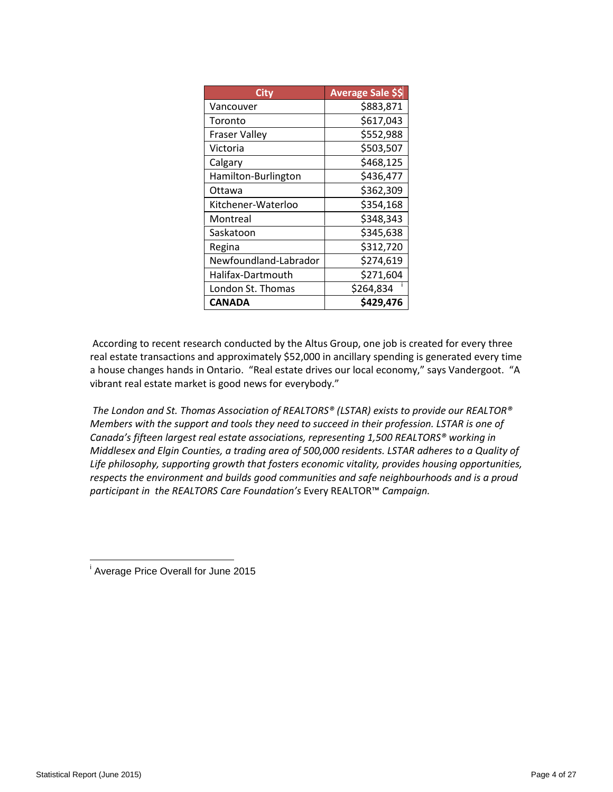| Citv                  | <b>Average Sale \$\$</b> |
|-----------------------|--------------------------|
| Vancouver             | \$883,871                |
| Toronto               | \$617,043                |
| <b>Fraser Valley</b>  | \$552,988                |
| Victoria              | \$503,507                |
| Calgary               | \$468,125                |
| Hamilton-Burlington   | \$436,477                |
| Ottawa                | \$362,309                |
| Kitchener-Waterloo    | \$354,168                |
| Montreal              | \$348,343                |
| Saskatoon             | \$345,638                |
| Regina                | \$312,720                |
| Newfoundland-Labrador | \$274,619                |
| Halifax-Dartmouth     | \$271,604                |
| London St. Thomas     | \$264,834                |
| <b>CANADA</b>         | \$429,476                |

According to recent research conducted by the Altus Group, one job is created for every three real estate transactions and approximately \$52,000 in ancillary spending is generated every time a house changes hands in Ontario. "Real estate drives our local economy," says Vandergoot. "A vibrant real estate market is good news for everybody."

*The London and St. Thomas Association of REALTORS® (LSTAR) exists to provide our REALTOR® Members with the support and tools they need to succeed in their profession. LSTAR is one of Canada's fifteen largest real estate associations, representing 1,500 REALTORS® working in Middlesex and Elgin Counties, a trading area of 500,000 residents. LSTAR adheres to a Quality of Life philosophy, supporting growth that fosters economic vitality, provides housing opportunities, respects the environment and builds good communities and safe neighbourhoods and is a proud participant in the REALTORS Care Foundation's* Every REALTOR™ *Campaign.* 

<span id="page-3-0"></span>i Average Price Overall for June 2015  $\overline{a}$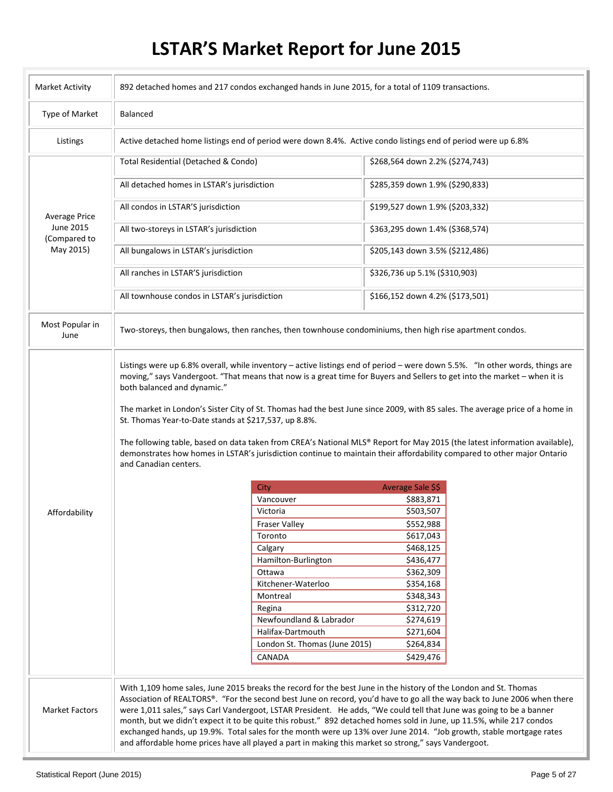# **LSTAR'S Market Report for June 2015**

| <b>Market Activity</b>    |                                                                                                               | 892 detached homes and 217 condos exchanged hands in June 2015, for a total of 1109 transactions.                                                                                                                                                                                                                                                                                                                                                                                                                                                                                                                                                                                                                           |                                 |  |  |  |  |  |
|---------------------------|---------------------------------------------------------------------------------------------------------------|-----------------------------------------------------------------------------------------------------------------------------------------------------------------------------------------------------------------------------------------------------------------------------------------------------------------------------------------------------------------------------------------------------------------------------------------------------------------------------------------------------------------------------------------------------------------------------------------------------------------------------------------------------------------------------------------------------------------------------|---------------------------------|--|--|--|--|--|
| Type of Market            | Balanced                                                                                                      |                                                                                                                                                                                                                                                                                                                                                                                                                                                                                                                                                                                                                                                                                                                             |                                 |  |  |  |  |  |
| Listings                  | Active detached home listings end of period were down 8.4%. Active condo listings end of period were up 6.8%  |                                                                                                                                                                                                                                                                                                                                                                                                                                                                                                                                                                                                                                                                                                                             |                                 |  |  |  |  |  |
|                           | Total Residential (Detached & Condo)                                                                          |                                                                                                                                                                                                                                                                                                                                                                                                                                                                                                                                                                                                                                                                                                                             | \$268,564 down 2.2% (\$274,743) |  |  |  |  |  |
|                           | All detached homes in LSTAR's jurisdiction                                                                    |                                                                                                                                                                                                                                                                                                                                                                                                                                                                                                                                                                                                                                                                                                                             | \$285,359 down 1.9% (\$290,833) |  |  |  |  |  |
| <b>Average Price</b>      | All condos in LSTAR'S jurisdiction                                                                            |                                                                                                                                                                                                                                                                                                                                                                                                                                                                                                                                                                                                                                                                                                                             | \$199,527 down 1.9% (\$203,332) |  |  |  |  |  |
| June 2015<br>(Compared to | All two-storeys in LSTAR's jurisdiction                                                                       |                                                                                                                                                                                                                                                                                                                                                                                                                                                                                                                                                                                                                                                                                                                             | \$363,295 down 1.4% (\$368,574) |  |  |  |  |  |
| May 2015)                 | All bungalows in LSTAR's jurisdiction                                                                         |                                                                                                                                                                                                                                                                                                                                                                                                                                                                                                                                                                                                                                                                                                                             | \$205,143 down 3.5% (\$212,486) |  |  |  |  |  |
|                           | All ranches in LSTAR'S jurisdiction                                                                           |                                                                                                                                                                                                                                                                                                                                                                                                                                                                                                                                                                                                                                                                                                                             | \$326,736 up 5.1% (\$310,903)   |  |  |  |  |  |
|                           | All townhouse condos in LSTAR's jurisdiction                                                                  |                                                                                                                                                                                                                                                                                                                                                                                                                                                                                                                                                                                                                                                                                                                             | \$166,152 down 4.2% (\$173,501) |  |  |  |  |  |
| Most Popular in<br>June   |                                                                                                               | Two-storeys, then bungalows, then ranches, then townhouse condominiums, then high rise apartment condos.                                                                                                                                                                                                                                                                                                                                                                                                                                                                                                                                                                                                                    |                                 |  |  |  |  |  |
|                           | both balanced and dynamic."<br>St. Thomas Year-to-Date stands at \$217,537, up 8.8%.<br>and Canadian centers. | moving," says Vandergoot. "That means that now is a great time for Buyers and Sellers to get into the market - when it is<br>The market in London's Sister City of St. Thomas had the best June since 2009, with 85 sales. The average price of a home in<br>The following table, based on data taken from CREA's National MLS® Report for May 2015 (the latest information available),<br>demonstrates how homes in LSTAR's jurisdiction continue to maintain their affordability compared to other major Ontario                                                                                                                                                                                                          |                                 |  |  |  |  |  |
|                           |                                                                                                               | City                                                                                                                                                                                                                                                                                                                                                                                                                                                                                                                                                                                                                                                                                                                        | Average Sale \$\$               |  |  |  |  |  |
|                           |                                                                                                               | Vancouver                                                                                                                                                                                                                                                                                                                                                                                                                                                                                                                                                                                                                                                                                                                   | \$883,871                       |  |  |  |  |  |
| Affordability             |                                                                                                               | Victoria                                                                                                                                                                                                                                                                                                                                                                                                                                                                                                                                                                                                                                                                                                                    | \$503,507                       |  |  |  |  |  |
|                           |                                                                                                               | <b>Fraser Valley</b>                                                                                                                                                                                                                                                                                                                                                                                                                                                                                                                                                                                                                                                                                                        | \$552,988                       |  |  |  |  |  |
|                           |                                                                                                               | Toronto                                                                                                                                                                                                                                                                                                                                                                                                                                                                                                                                                                                                                                                                                                                     | \$617,043                       |  |  |  |  |  |
|                           |                                                                                                               | Calgary                                                                                                                                                                                                                                                                                                                                                                                                                                                                                                                                                                                                                                                                                                                     | \$468,125                       |  |  |  |  |  |
|                           |                                                                                                               | Hamilton-Burlington                                                                                                                                                                                                                                                                                                                                                                                                                                                                                                                                                                                                                                                                                                         | \$436,477                       |  |  |  |  |  |
|                           |                                                                                                               | Ottawa                                                                                                                                                                                                                                                                                                                                                                                                                                                                                                                                                                                                                                                                                                                      | \$362,309                       |  |  |  |  |  |
|                           |                                                                                                               | Kitchener-Waterloo                                                                                                                                                                                                                                                                                                                                                                                                                                                                                                                                                                                                                                                                                                          | \$354,168                       |  |  |  |  |  |
|                           |                                                                                                               | Montreal                                                                                                                                                                                                                                                                                                                                                                                                                                                                                                                                                                                                                                                                                                                    | \$348,343                       |  |  |  |  |  |
|                           |                                                                                                               | Regina                                                                                                                                                                                                                                                                                                                                                                                                                                                                                                                                                                                                                                                                                                                      | \$312,720                       |  |  |  |  |  |
|                           |                                                                                                               | Newfoundland & Labrador                                                                                                                                                                                                                                                                                                                                                                                                                                                                                                                                                                                                                                                                                                     | \$274,619                       |  |  |  |  |  |
|                           |                                                                                                               | Halifax-Dartmouth                                                                                                                                                                                                                                                                                                                                                                                                                                                                                                                                                                                                                                                                                                           | \$271,604                       |  |  |  |  |  |
|                           |                                                                                                               | London St. Thomas (June 2015)                                                                                                                                                                                                                                                                                                                                                                                                                                                                                                                                                                                                                                                                                               | \$264,834                       |  |  |  |  |  |
|                           |                                                                                                               | CANADA                                                                                                                                                                                                                                                                                                                                                                                                                                                                                                                                                                                                                                                                                                                      | \$429,476                       |  |  |  |  |  |
| <b>Market Factors</b>     |                                                                                                               | With 1,109 home sales, June 2015 breaks the record for the best June in the history of the London and St. Thomas<br>Association of REALTORS®. "For the second best June on record, you'd have to go all the way back to June 2006 when there<br>were 1,011 sales," says Carl Vandergoot, LSTAR President. He adds, "We could tell that June was going to be a banner<br>month, but we didn't expect it to be quite this robust." 892 detached homes sold in June, up 11.5%, while 217 condos<br>exchanged hands, up 19.9%. Total sales for the month were up 13% over June 2014. "Job growth, stable mortgage rates<br>and affordable home prices have all played a part in making this market so strong," says Vandergoot. |                                 |  |  |  |  |  |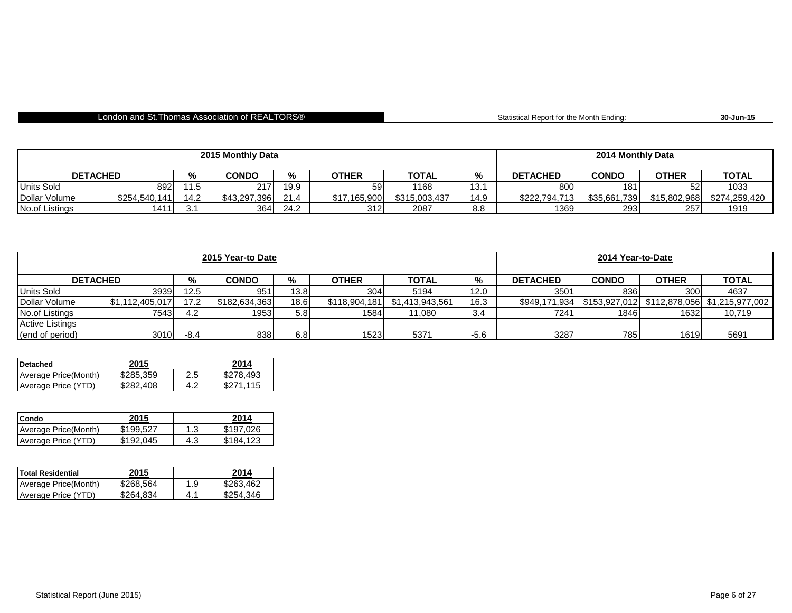#### London and St.Thomas Association of REALTORS®

Statistical Report for the Month Ending: **30-Jun-15**

| 2015 Monthly Data |               |      |              |      |              |               | 2014 Monthly Data |                 |              |              |               |
|-------------------|---------------|------|--------------|------|--------------|---------------|-------------------|-----------------|--------------|--------------|---------------|
| <b>DETACHED</b>   |               | %    | <b>CONDO</b> | ℅    | <b>OTHER</b> | <b>TOTAL</b>  | %                 | <b>DETACHED</b> | <b>CONDO</b> | <b>OTHER</b> | <b>TOTAL</b>  |
| <b>Units Sold</b> | 892           | 11.5 | 217          | 19.9 | 59           | 1168          | 13.7              | 800             | 181          | につ           | 1033          |
| Dollar Volume     | \$254,540,141 | 14.2 | \$43,297,396 | 21.4 | \$17.165.900 | \$315,003,437 | 14.9              | \$222,794,713   | \$35,661,739 | \$15,802,968 | \$274,259,420 |
| No.of Listings    | 1411          | ູ    | 364          | 24.2 | 312          | 2087          | 8.8               | 1369            | 293          | 257          | 1919          |

| 2015 Year-to Date      |                 |        |               |      |               |                 |        | 2014 Year-to-Date |               |              |              |
|------------------------|-----------------|--------|---------------|------|---------------|-----------------|--------|-------------------|---------------|--------------|--------------|
| <b>DETACHED</b>        |                 | %      | <b>CONDO</b>  | %    | <b>OTHER</b>  | <b>TOTAL</b>    | %      | <b>DETACHED</b>   | <b>CONDO</b>  | <b>OTHER</b> | <b>TOTAL</b> |
| <b>Units Sold</b>      | 3939            | 12.5   | 951           | 13.8 | 304           | 5194            | 12.0   | 3501              | 836           | 300          | 4637         |
| Dollar Volume          | \$1,112,405,017 | 17.2   | \$182,634,363 | 18.6 | \$118,904,181 | \$1,413,943,561 | 16.3   | \$949,171,934     | \$153.927.012 |              |              |
| No.of Listings         | 7543            | 4.2    | 1953          | 5.8  | 1584          | 11.080          | 3.4    | 7241              | 1846          | 1632         | 10,719       |
| <b>Active Listings</b> |                 |        |               |      |               |                 |        |                   |               |              |              |
| (end of period)        | 3010            | $-8.4$ | 838           | 6.8  | 1523          | 5371            | $-5.6$ | 3287              | 785           | 1619         | 5691         |

| <b>IDetached</b>      | 2015      |     | 2014      |
|-----------------------|-----------|-----|-----------|
| Average Price (Month) | \$285,359 | 2.5 | \$278.493 |
| Average Price (YTD)   | \$282.408 | 4.2 | \$271.115 |

| <b>Condo</b>         | 2015      |     | 2014      |
|----------------------|-----------|-----|-----------|
| Average Price(Month) | \$199.527 | 1.3 | \$197.026 |
| Average Price (YTD)  | \$192.045 | 4.3 | \$184.123 |

| <b>Total Residential</b> | 2015      |     | 2014      |
|--------------------------|-----------|-----|-----------|
| Average Price (Month)    | \$268,564 | 1.9 | \$263.462 |
| Average Price (YTD)      | \$264.834 | 4.1 | \$254,346 |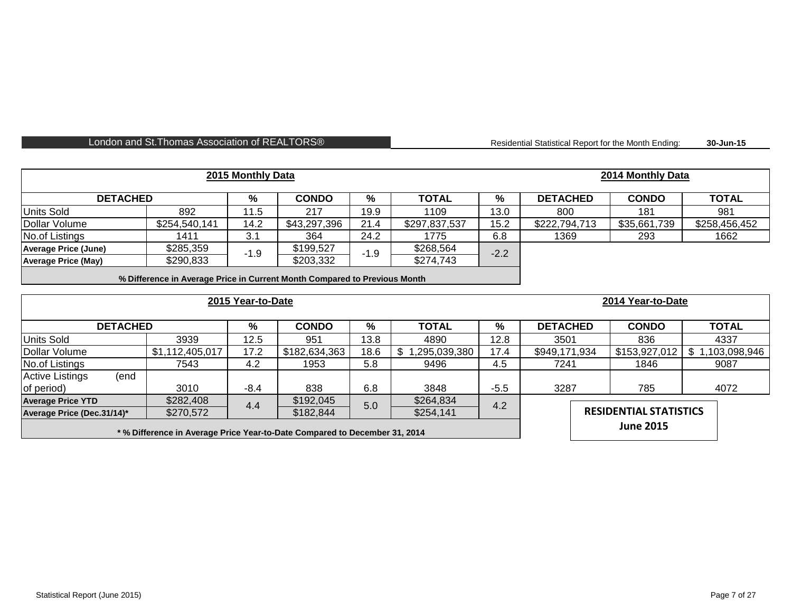#### London and St. Thomas Association of REALTORS® **Residential Statistical Report for the Month Ending:**

**30-Jun-15**

| 2015 Monthly Data                                                          |                                                                           |                   |               |        |                 |               |                               | 2014 Monthly Data |                 |
|----------------------------------------------------------------------------|---------------------------------------------------------------------------|-------------------|---------------|--------|-----------------|---------------|-------------------------------|-------------------|-----------------|
| <b>DETACHED</b>                                                            |                                                                           | %                 | <b>CONDO</b>  | %      | <b>TOTAL</b>    | $\frac{9}{6}$ | <b>DETACHED</b>               | <b>CONDO</b>      | <b>TOTAL</b>    |
| <b>Units Sold</b>                                                          | 892                                                                       | 11.5              | 217           | 19.9   | 1109            | 13.0          | 800                           | 181               | 981             |
| Dollar Volume                                                              | \$254,540,141                                                             | 14.2              | \$43,297,396  | 21.4   | \$297,837,537   | 15.2          | \$222,794,713                 | \$35,661,739      | \$258,456,452   |
| No.of Listings                                                             | 1411                                                                      | 3.1               | 364           | 24.2   | 1775            | 6.8           | 1369                          | 293               | 1662            |
| <b>Average Price (June)</b>                                                | \$285,359                                                                 | $-1.9$            | \$199,527     | $-1.9$ | \$268,564       | $-2.2$        |                               |                   |                 |
| <b>Average Price (May)</b>                                                 | \$290,833                                                                 |                   | \$203,332     |        | \$274,743       |               |                               |                   |                 |
|                                                                            | % Difference in Average Price in Current Month Compared to Previous Month |                   |               |        |                 |               |                               |                   |                 |
|                                                                            |                                                                           | 2015 Year-to-Date |               |        |                 |               |                               | 2014 Year-to-Date |                 |
| <b>DETACHED</b>                                                            |                                                                           | %                 | <b>CONDO</b>  | %      | <b>TOTAL</b>    | %             | <b>DETACHED</b>               | <b>CONDO</b>      | <b>TOTAL</b>    |
| <b>Units Sold</b>                                                          | 3939                                                                      | 12.5              | 951           | 13.8   | 4890            | 12.8          | 3501                          | 836               | 4337            |
| Dollar Volume                                                              | \$1,112,405,017                                                           | 17.2              | \$182,634,363 | 18.6   | \$1,295,039,380 | 17.4          | \$949,171,934                 | \$153,927,012     | \$1,103,098,946 |
| No.of Listings                                                             | 7543                                                                      | 4.2               | 1953          | 5.8    | 9496            | 4.5           | 7241                          | 1846              | 9087            |
| (end<br><b>Active Listings</b>                                             |                                                                           |                   |               |        |                 |               |                               |                   |                 |
| of period)                                                                 | 3010                                                                      | $-8.4$            | 838           | 6.8    | 3848            | $-5.5$        | 3287                          | 785               | 4072            |
| <b>Average Price YTD</b>                                                   | \$282,408                                                                 | 4.4               | \$192,045     | 5.0    | \$264,834       | 4.2           |                               |                   |                 |
| Average Price (Dec.31/14)*                                                 | \$270,572                                                                 |                   | \$182,844     |        | \$254,141       |               | <b>RESIDENTIAL STATISTICS</b> |                   |                 |
| * % Difference in Average Price Year-to-Date Compared to December 31, 2014 |                                                                           |                   |               |        |                 |               |                               | <b>June 2015</b>  |                 |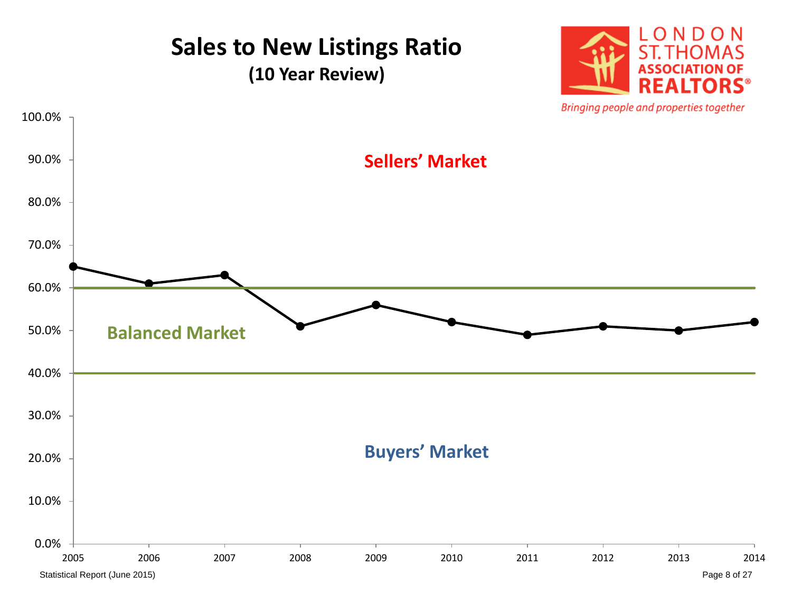# **Sales to New Listings Ratio**

**(10 Year Review)**



Bringing people and properties together

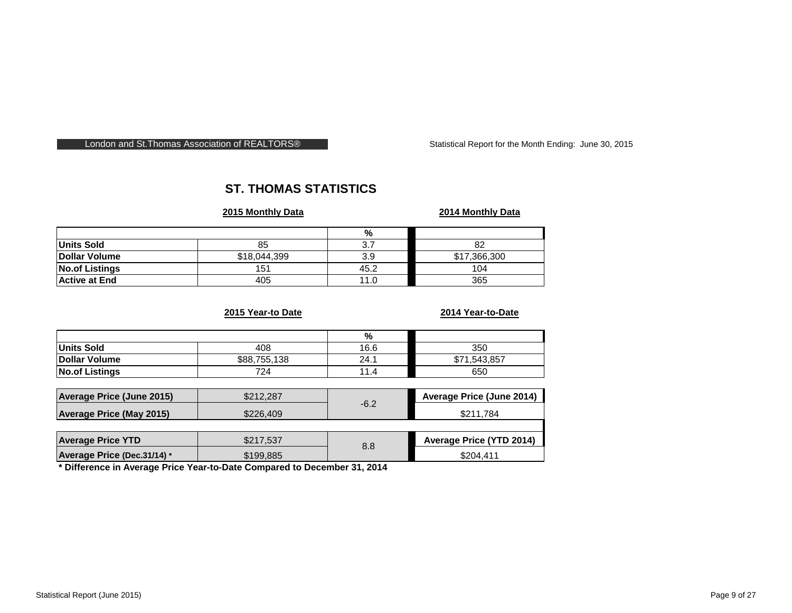#### London and St. Thomas Association of REALTORS® Statistical Report for the Month Ending: June 30, 2015

#### **ST. THOMAS STATISTICS**

#### **2015 Monthly Data 2014 Monthly Data**

|                       |              | %    |              |
|-----------------------|--------------|------|--------------|
| Units Sold            | 85           | ا    | 82           |
| Dollar Volume         | \$18,044,399 | 3.9  | \$17,366,300 |
| <b>No.of Listings</b> | 151          | 45.2 | 104          |
| <b>Active at End</b>  | 405          | 11.0 | 365          |

#### **2015 Year-to Date 2014 Year-to-Date**

|                                 |              | %      |                           |
|---------------------------------|--------------|--------|---------------------------|
| <b>Units Sold</b>               | 408          | 16.6   | 350                       |
| Dollar Volume                   | \$88,755,138 | 24.1   | \$71,543,857              |
| <b>No.of Listings</b>           | 724          | 11.4   | 650                       |
|                                 |              |        |                           |
| Average Price (June 2015)       | \$212,287    |        | Average Price (June 2014) |
| <b>Average Price (May 2015)</b> | \$226,409    | $-6.2$ | \$211,784                 |
|                                 |              |        |                           |
| <b>Average Price YTD</b>        | \$217,537    | 8.8    | Average Price (YTD 2014)  |
| Average Price (Dec.31/14) *     | \$199,885    |        | \$204,411                 |

**\* Difference in Average Price Year-to-Date Compared to December 31, 2014**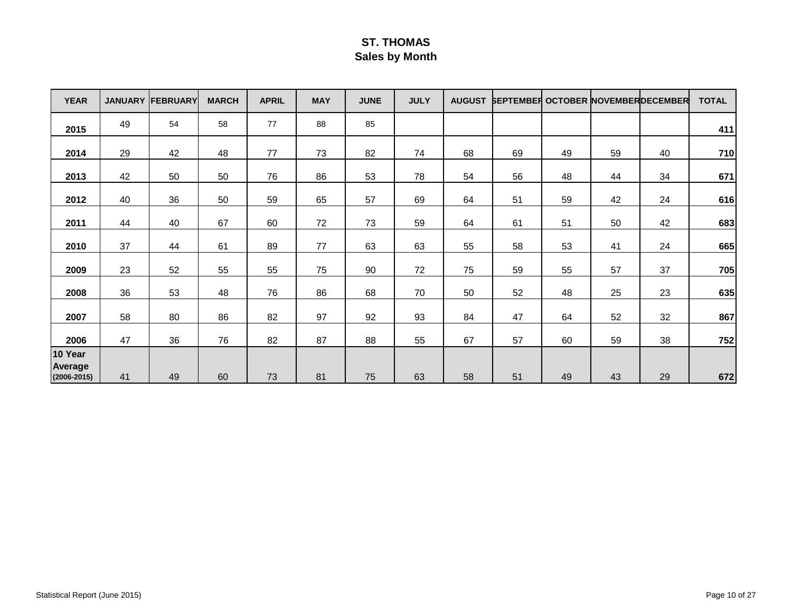#### **ST. THOMAS Sales by Month**

| <b>YEAR</b>               |    | <b>JANUARY FEBRUARY</b> | <b>MARCH</b> | <b>APRIL</b> | <b>MAY</b> | <b>JUNE</b> | <b>JULY</b> | <b>AUGUST</b> | <b>SEPTEMBER OCTOBER NOVEMBERDECEMBER</b> |    |    |    | <b>TOTAL</b> |
|---------------------------|----|-------------------------|--------------|--------------|------------|-------------|-------------|---------------|-------------------------------------------|----|----|----|--------------|
| 2015                      | 49 | 54                      | 58           | 77           | 88         | 85          |             |               |                                           |    |    |    | 411          |
| 2014                      | 29 | 42                      | 48           | 77           | 73         | 82          | 74          | 68            | 69                                        | 49 | 59 | 40 | 710          |
| 2013                      | 42 | 50                      | 50           | 76           | 86         | 53          | 78          | 54            | 56                                        | 48 | 44 | 34 | 671          |
| 2012                      | 40 | 36                      | 50           | 59           | 65         | 57          | 69          | 64            | 51                                        | 59 | 42 | 24 | 616          |
| 2011                      | 44 | 40                      | 67           | 60           | 72         | 73          | 59          | 64            | 61                                        | 51 | 50 | 42 | 683          |
| 2010                      | 37 | 44                      | 61           | 89           | 77         | 63          | 63          | 55            | 58                                        | 53 | 41 | 24 | 665          |
| 2009                      | 23 | 52                      | 55           | 55           | 75         | 90          | 72          | 75            | 59                                        | 55 | 57 | 37 | 705          |
| 2008                      | 36 | 53                      | 48           | 76           | 86         | 68          | 70          | 50            | 52                                        | 48 | 25 | 23 | 635          |
| 2007                      | 58 | 80                      | 86           | 82           | 97         | 92          | 93          | 84            | 47                                        | 64 | 52 | 32 | 867          |
| 2006                      | 47 | 36                      | 76           | 82           | 87         | 88          | 55          | 67            | 57                                        | 60 | 59 | 38 | 752          |
| 10 Year<br><b>Average</b> |    |                         |              |              |            |             |             |               |                                           |    |    |    |              |
| $(2006 - 2015)$           | 41 | 49                      | 60           | 73           | 81         | 75          | 63          | 58            | 51                                        | 49 | 43 | 29 | 672          |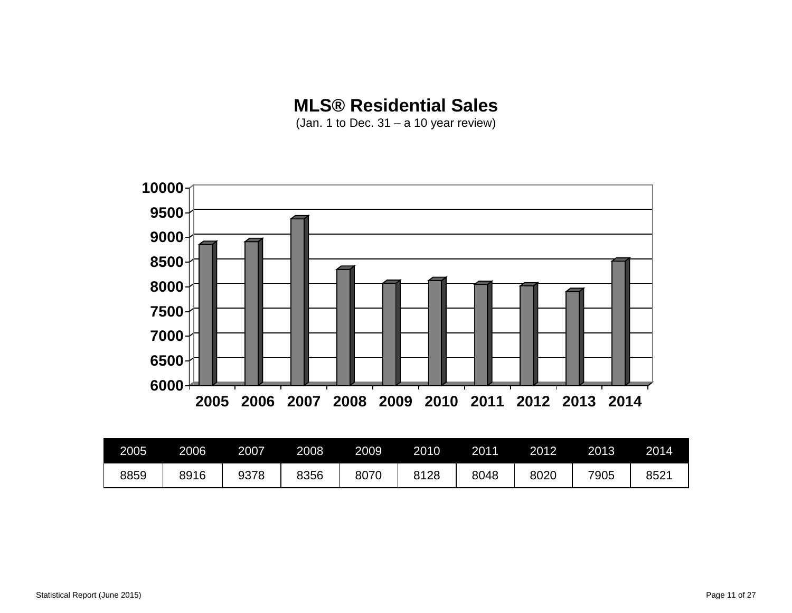#### **MLS® Residential Sales**

(Jan. 1 to Dec. 31 – a 10 year review)



| 2005 | 2006 | 2007 | 2008 | 2009 | 2010 | 2011 | 2012 | 2013 | 2014 |
|------|------|------|------|------|------|------|------|------|------|
| 8859 | 8916 | 9378 | 8356 | 8070 | 8128 | 8048 | 8020 | 7905 | 8521 |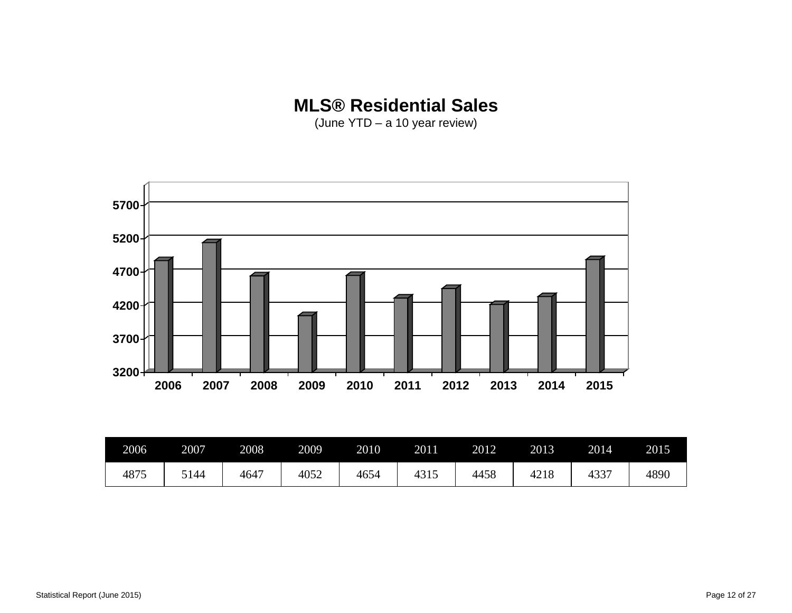#### **MLS® Residential Sales**

(June YTD – a 10 year review)



| 2006 | 2007 | 2008 | 2009 | 2010 | 2011 | 2012 | 2013 | 2014 | 2015 |
|------|------|------|------|------|------|------|------|------|------|
| 4875 | 5144 | 4647 | 4052 | 4654 | 4315 | 4458 | 4218 | 4337 | 4890 |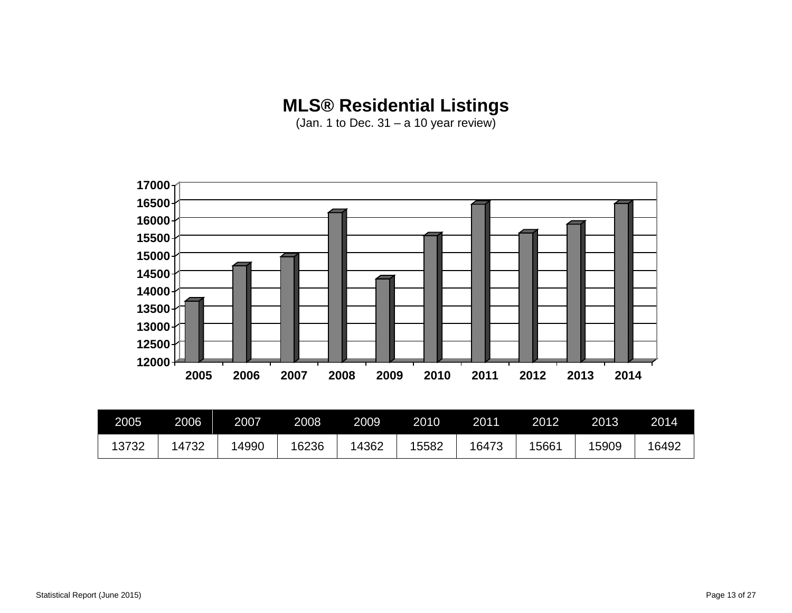## **MLS® Residential Listings**

(Jan. 1 to Dec.  $31 - a 10$  year review)



| 2005  | 2006  | 2007 | 2008  | 2009 | 2010 | 2011  | 2012  | 2013  | 2014  |
|-------|-------|------|-------|------|------|-------|-------|-------|-------|
| 13732 | 14732 | 4990 | 16236 | 4362 | 5582 | 16473 | 15661 | 15909 | 16492 |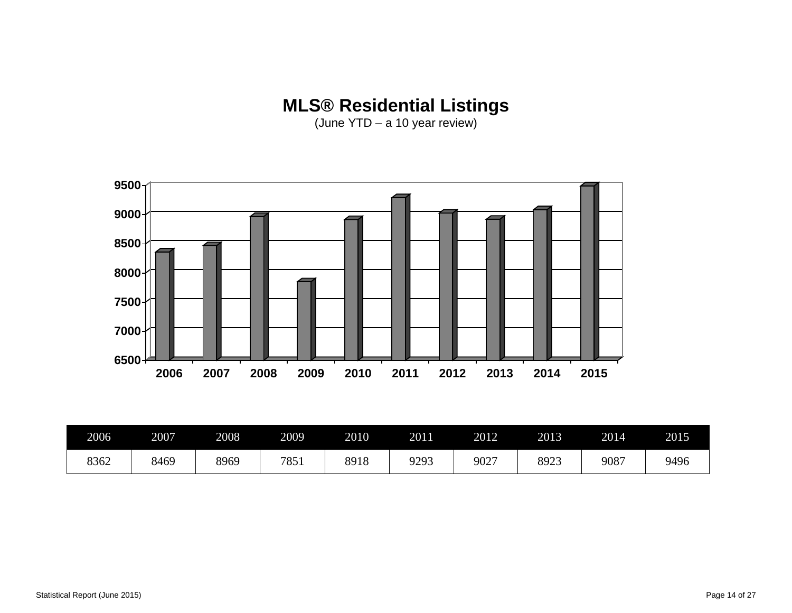#### **MLS® Residential Listings**

(June YTD – a 10 year review)



| 2006 | 2007 | 2008 | 2009 | 2010 | 2011          | 2012 | 2013 | 2014 | 2015 |
|------|------|------|------|------|---------------|------|------|------|------|
| 8362 | 8469 | 8969 | 7851 | 8918 | 9293<br>ر ر ب | 9027 | 8923 | 9087 | 9496 |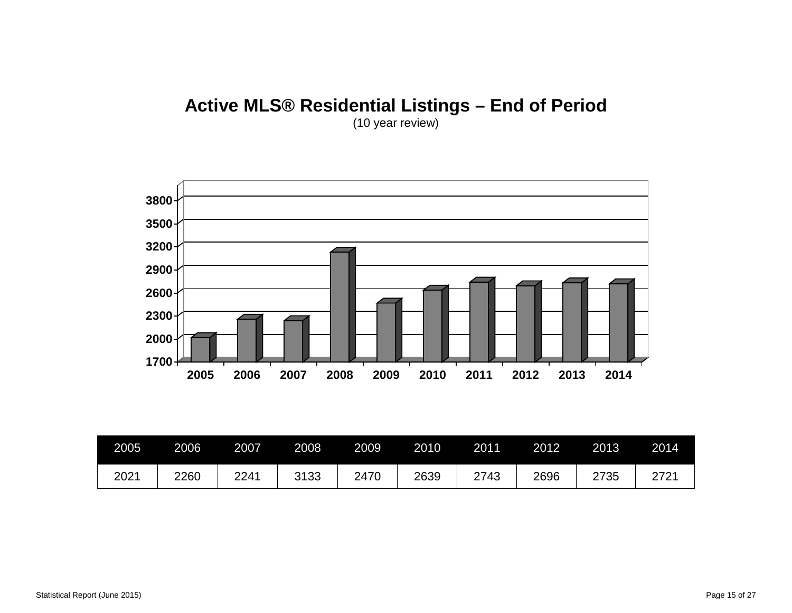# **Active MLS® Residential Listings – End of Period**



| 2005 | 2006 | 2007 | 2008 | 2009 | 2010 | 2011 | 2012 | 2013 | 2014 |
|------|------|------|------|------|------|------|------|------|------|
| 2021 | 2260 | 2241 | 3133 | 2470 | 2639 | 2743 | 2696 | 2735 | 2721 |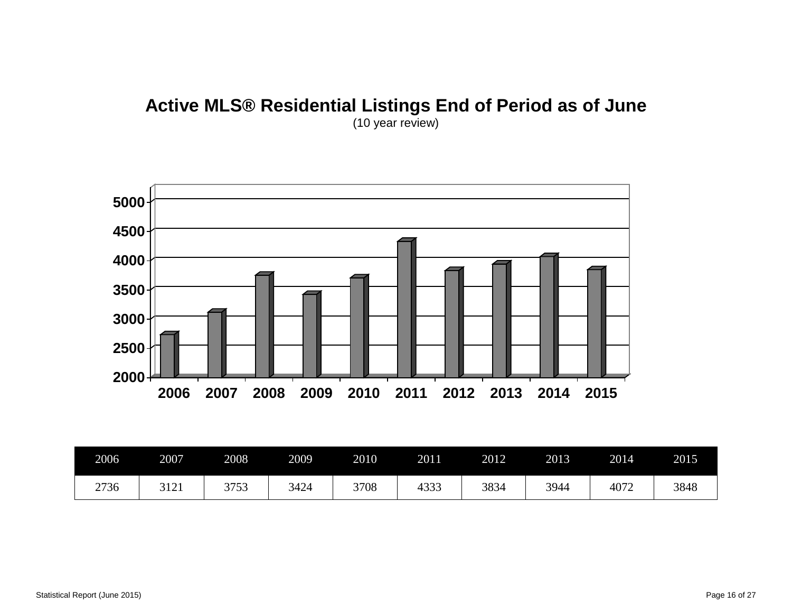#### **Active MLS® Residential Listings End of Period as of June** (10 year review)



| 2006 | 2007 | 2008 | 2009 | 2010 | 2011 | 2012 | 2013 | 2014 | 2015 |
|------|------|------|------|------|------|------|------|------|------|
| 2736 | 3121 | 3753 | 3424 | 3708 | 4333 | 3834 | 3944 | 4072 | 3848 |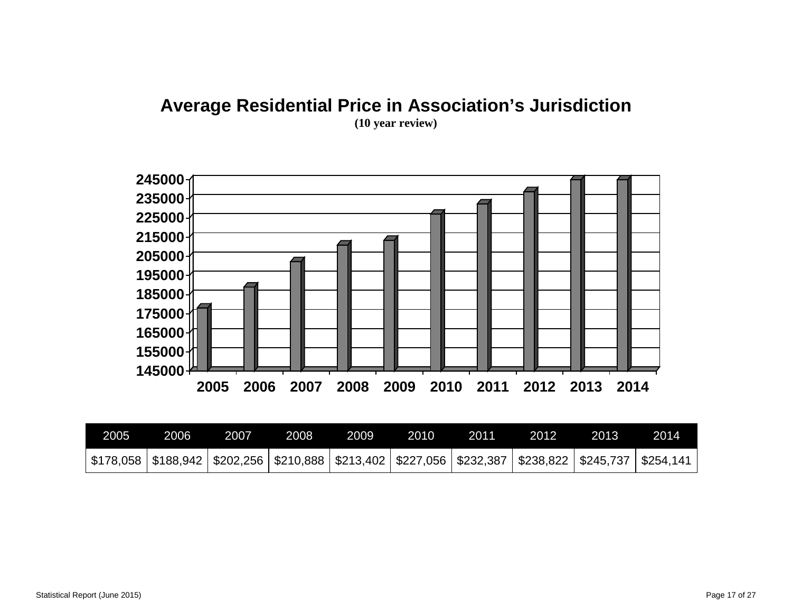# **Average Residential Price in Association's Jurisdiction**



| 2005 | 2006 | 2007 | 2008 | 2009 | 2010 | 2011 | 2012                                                                                                                  | 2013 | 2014 |
|------|------|------|------|------|------|------|-----------------------------------------------------------------------------------------------------------------------|------|------|
|      |      |      |      |      |      |      | \$178,058   \$188,942   \$202,256   \$210,888   \$213,402   \$227,056   \$232,387   \$238,822   \$245,737   \$254,141 |      |      |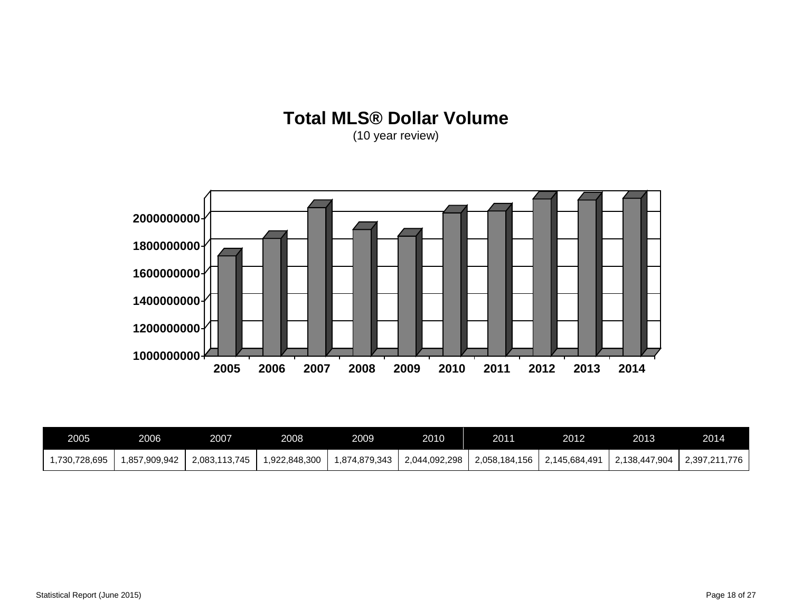# **Total MLS® Dollar Volume**



| 2005         | 2006         | 2007          | 2008         | 2009         | 2010          | 2011          | 2012          | 2013          | 2014          |
|--------------|--------------|---------------|--------------|--------------|---------------|---------------|---------------|---------------|---------------|
| ,730,728,695 | .857,909,942 | 2.083.113.745 | ,922,848,300 | .874.879.343 | 2,044,092,298 | 2,058,184,156 | 2.145.684.491 | 2.138.447.904 | 2,397,211,776 |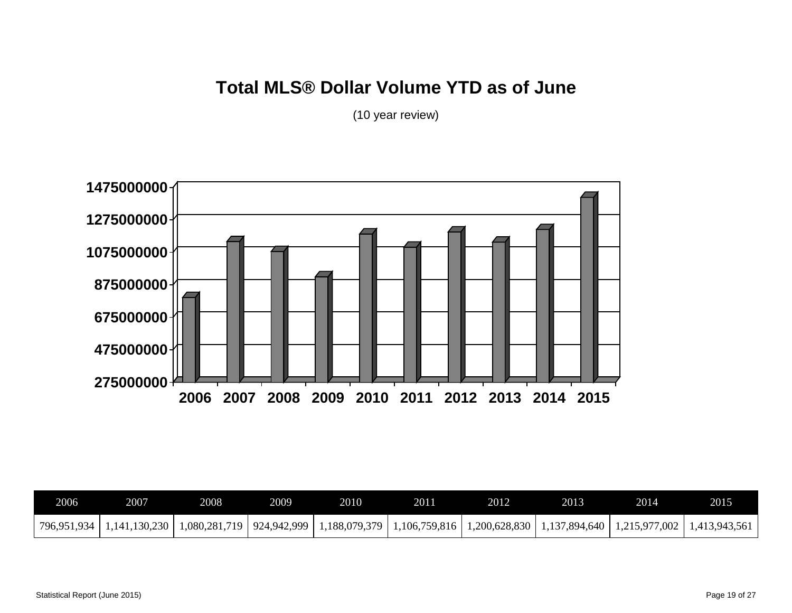### **Total MLS® Dollar Volume YTD as of June**



| 2006 | 2007                        | 2008 | 2009 | 2010                                          | 2011 | 2012 | 2013 | 2014                                                                                                     | 2015 |
|------|-----------------------------|------|------|-----------------------------------------------|------|------|------|----------------------------------------------------------------------------------------------------------|------|
|      | 796,951,934   1,141,130,230 |      |      | $1,080,281,719$   924,942,999   1,188,079,379 |      |      |      | $\mid$ 1,106,759,816 $\mid$ 1,200,628,830 $\mid$ 1,137,894,640 $\mid$ 1,215,977,002 $\mid$ 1,413,943,561 |      |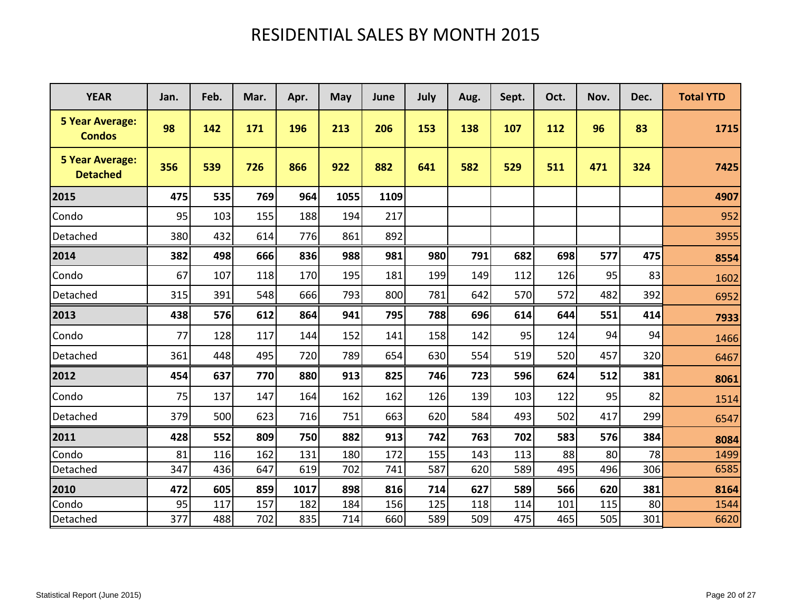# RESIDENTIAL SALES BY MONTH 2015

| <b>YEAR</b>                               | Jan. | Feb. | Mar. | Apr. | May  | June | July | Aug. | Sept. | Oct. | Nov. | Dec. | <b>Total YTD</b> |
|-------------------------------------------|------|------|------|------|------|------|------|------|-------|------|------|------|------------------|
| <b>5 Year Average:</b><br><b>Condos</b>   | 98   | 142  | 171  | 196  | 213  | 206  | 153  | 138  | 107   | 112  | 96   | 83   | 1715             |
| <b>5 Year Average:</b><br><b>Detached</b> | 356  | 539  | 726  | 866  | 922  | 882  | 641  | 582  | 529   | 511  | 471  | 324  | 7425             |
| 2015                                      | 475  | 535  | 769  | 964  | 1055 | 1109 |      |      |       |      |      |      | 4907             |
| Condo                                     | 95   | 103  | 155  | 188  | 194  | 217  |      |      |       |      |      |      | 952              |
| Detached                                  | 380  | 432  | 614  | 776  | 861  | 892  |      |      |       |      |      |      | 3955             |
| 2014                                      | 382  | 498  | 666  | 836  | 988  | 981  | 980  | 791  | 682   | 698  | 577  | 475  | 8554             |
| Condo                                     | 67   | 107  | 118  | 170  | 195  | 181  | 199  | 149  | 112   | 126  | 95   | 83   | 1602             |
| Detached                                  | 315  | 391  | 548  | 666  | 793  | 800  | 781  | 642  | 570   | 572  | 482  | 392  | 6952             |
| 2013                                      | 438  | 576  | 612  | 864  | 941  | 795  | 788  | 696  | 614   | 644  | 551  | 414  | 7933             |
| Condo                                     | 77   | 128  | 117  | 144  | 152  | 141  | 158  | 142  | 95    | 124  | 94   | 94   | 1466             |
| Detached                                  | 361  | 448  | 495  | 720  | 789  | 654  | 630  | 554  | 519   | 520  | 457  | 320  | 6467             |
| 2012                                      | 454  | 637  | 770  | 880  | 913  | 825  | 746  | 723  | 596   | 624  | 512  | 381  | 8061             |
| Condo                                     | 75   | 137  | 147  | 164  | 162  | 162  | 126  | 139  | 103   | 122  | 95   | 82   | 1514             |
| Detached                                  | 379  | 500  | 623  | 716  | 751  | 663  | 620  | 584  | 493   | 502  | 417  | 299  | 6547             |
| 2011                                      | 428  | 552  | 809  | 750  | 882  | 913  | 742  | 763  | 702   | 583  | 576  | 384  | 8084             |
| Condo                                     | 81   | 116  | 162  | 131  | 180  | 172  | 155  | 143  | 113   | 88   | 80   | 78   | 1499             |
| Detached                                  | 347  | 436  | 647  | 619  | 702  | 741  | 587  | 620  | 589   | 495  | 496  | 306  | 6585             |
| 2010                                      | 472  | 605  | 859  | 1017 | 898  | 816  | 714  | 627  | 589   | 566  | 620  | 381  | 8164             |
| Condo                                     | 95   | 117  | 157  | 182  | 184  | 156  | 125  | 118  | 114   | 101  | 115  | 80   | 1544             |
| Detached                                  | 377  | 488  | 702  | 835  | 714  | 660  | 589  | 509  | 475   | 465  | 505  | 301  | 6620             |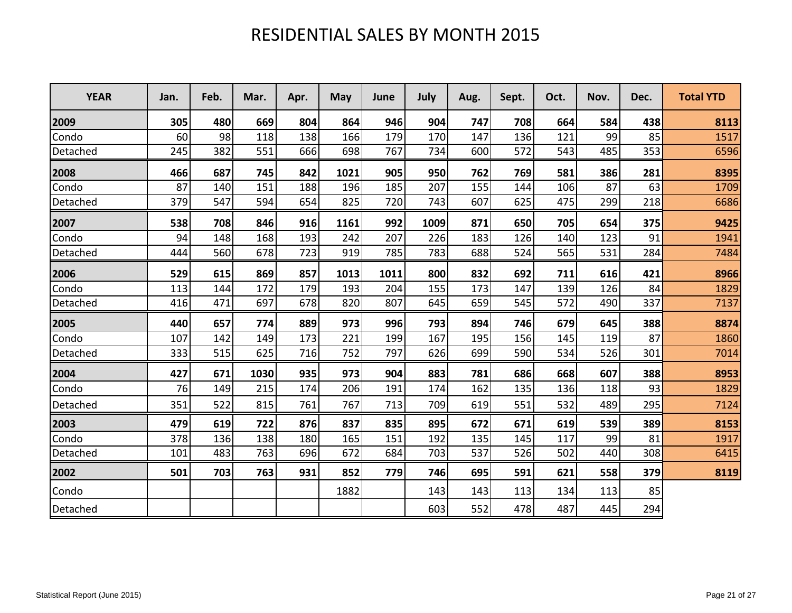## RESIDENTIAL SALES BY MONTH 2015

| <b>YEAR</b> | Jan. | Feb. | Mar. | Apr. | May  | June | July | Aug. | Sept. | Oct. | Nov. | Dec. | <b>Total YTD</b> |
|-------------|------|------|------|------|------|------|------|------|-------|------|------|------|------------------|
| 2009        | 305  | 480  | 669  | 804  | 864  | 946  | 904  | 747  | 708   | 664  | 584  | 438  | 8113             |
| Condo       | 60   | 98   | 118  | 138  | 166  | 179  | 170  | 147  | 136   | 121  | 99   | 85   | 1517             |
| Detached    | 245  | 382  | 551  | 666  | 698  | 767  | 734  | 600  | 572   | 543  | 485  | 353  | 6596             |
| 2008        | 466  | 687  | 745  | 842  | 1021 | 905  | 950  | 762  | 769   | 581  | 386  | 281  | 8395             |
| Condo       | 87   | 140  | 151  | 188  | 196  | 185  | 207  | 155  | 144   | 106  | 87   | 63   | 1709             |
| Detached    | 379  | 547  | 594  | 654  | 825  | 720  | 743  | 607  | 625   | 475  | 299  | 218  | 6686             |
| 2007        | 538  | 708  | 846  | 916  | 1161 | 992  | 1009 | 871  | 650   | 705  | 654  | 375  | 9425             |
| Condo       | 94   | 148  | 168  | 193  | 242  | 207  | 226  | 183  | 126   | 140  | 123  | 91   | 1941             |
| Detached    | 444  | 560  | 678  | 723  | 919  | 785  | 783  | 688  | 524   | 565  | 531  | 284  | 7484             |
| 2006        | 529  | 615  | 869  | 857  | 1013 | 1011 | 800  | 832  | 692   | 711  | 616  | 421  | 8966             |
| Condo       | 113  | 144  | 172  | 179  | 193  | 204  | 155  | 173  | 147   | 139  | 126  | 84   | 1829             |
| Detached    | 416  | 471  | 697  | 678  | 820  | 807  | 645  | 659  | 545   | 572  | 490  | 337  | 7137             |
| 2005        | 440  | 657  | 774  | 889  | 973  | 996  | 793  | 894  | 746   | 679  | 645  | 388  | 8874             |
| Condo       | 107  | 142  | 149  | 173  | 221  | 199  | 167  | 195  | 156   | 145  | 119  | 87   | 1860             |
| Detached    | 333  | 515  | 625  | 716  | 752  | 797  | 626  | 699  | 590   | 534  | 526  | 301  | 7014             |
| 2004        | 427  | 671  | 1030 | 935  | 973  | 904  | 883  | 781  | 686   | 668  | 607  | 388  | 8953             |
| Condo       | 76   | 149  | 215  | 174  | 206  | 191  | 174  | 162  | 135   | 136  | 118  | 93   | 1829             |
| Detached    | 351  | 522  | 815  | 761  | 767  | 713  | 709  | 619  | 551   | 532  | 489  | 295  | 7124             |
| 2003        | 479  | 619  | 722  | 876  | 837  | 835  | 895  | 672  | 671   | 619  | 539  | 389  | 8153             |
| Condo       | 378  | 136  | 138  | 180  | 165  | 151  | 192  | 135  | 145   | 117  | 99   | 81   | 1917             |
| Detached    | 101  | 483  | 763  | 696  | 672  | 684  | 703  | 537  | 526   | 502  | 440  | 308  | 6415             |
| 2002        | 501  | 703  | 763  | 931  | 852  | 779  | 746  | 695  | 591   | 621  | 558  | 379  | 8119             |
| Condo       |      |      |      |      | 1882 |      | 143  | 143  | 113   | 134  | 113  | 85   |                  |
| Detached    |      |      |      |      |      |      | 603  | 552  | 478   | 487  | 445  | 294  |                  |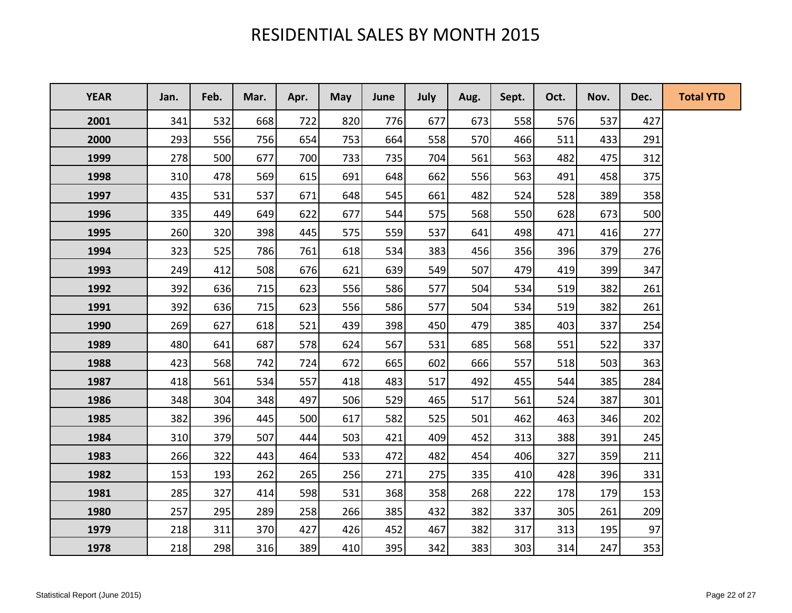## RESIDENTIAL SALES BY MONTH 2015

| <b>YEAR</b> | Jan. | Feb. | Mar. | Apr. | <b>May</b> | June | July | Aug. | Sept. | Oct. | Nov. | Dec. | <b>Total YTD</b> |
|-------------|------|------|------|------|------------|------|------|------|-------|------|------|------|------------------|
| 2001        | 341  | 532  | 668  | 722  | 820        | 776  | 677  | 673  | 558   | 576  | 537  | 427  |                  |
| 2000        | 293  | 556  | 756  | 654  | 753        | 664  | 558  | 570  | 466   | 511  | 433  | 291  |                  |
| 1999        | 278  | 500  | 677  | 700  | 733        | 735  | 704  | 561  | 563   | 482  | 475  | 312  |                  |
| 1998        | 310  | 478  | 569  | 615  | 691        | 648  | 662  | 556  | 563   | 491  | 458  | 375  |                  |
| 1997        | 435  | 531  | 537  | 671  | 648        | 545  | 661  | 482  | 524   | 528  | 389  | 358  |                  |
| 1996        | 335  | 449  | 649  | 622  | 677        | 544  | 575  | 568  | 550   | 628  | 673  | 500  |                  |
| 1995        | 260  | 320  | 398  | 445  | 575        | 559  | 537  | 641  | 498   | 471  | 416  | 277  |                  |
| 1994        | 323  | 525  | 786  | 761  | 618        | 534  | 383  | 456  | 356   | 396  | 379  | 276  |                  |
| 1993        | 249  | 412  | 508  | 676  | 621        | 639  | 549  | 507  | 479   | 419  | 399  | 347  |                  |
| 1992        | 392  | 636  | 715  | 623  | 556        | 586  | 577  | 504  | 534   | 519  | 382  | 261  |                  |
| 1991        | 392  | 636  | 715  | 623  | 556        | 586  | 577  | 504  | 534   | 519  | 382  | 261  |                  |
| 1990        | 269  | 627  | 618  | 521  | 439        | 398  | 450  | 479  | 385   | 403  | 337  | 254  |                  |
| 1989        | 480  | 641  | 687  | 578  | 624        | 567  | 531  | 685  | 568   | 551  | 522  | 337  |                  |
| 1988        | 423  | 568  | 742  | 724  | 672        | 665  | 602  | 666  | 557   | 518  | 503  | 363  |                  |
| 1987        | 418  | 561  | 534  | 557  | 418        | 483  | 517  | 492  | 455   | 544  | 385  | 284  |                  |
| 1986        | 348  | 304  | 348  | 497  | 506        | 529  | 465  | 517  | 561   | 524  | 387  | 301  |                  |
| 1985        | 382  | 396  | 445  | 500  | 617        | 582  | 525  | 501  | 462   | 463  | 346  | 202  |                  |
| 1984        | 310  | 379  | 507  | 444  | 503        | 421  | 409  | 452  | 313   | 388  | 391  | 245  |                  |
| 1983        | 266  | 322  | 443  | 464  | 533        | 472  | 482  | 454  | 406   | 327  | 359  | 211  |                  |
| 1982        | 153  | 193  | 262  | 265  | 256        | 271  | 275  | 335  | 410   | 428  | 396  | 331  |                  |
| 1981        | 285  | 327  | 414  | 598  | 531        | 368  | 358  | 268  | 222   | 178  | 179  | 153  |                  |
| 1980        | 257  | 295  | 289  | 258  | 266        | 385  | 432  | 382  | 337   | 305  | 261  | 209  |                  |
| 1979        | 218  | 311  | 370  | 427  | 426        | 452  | 467  | 382  | 317   | 313  | 195  | 97   |                  |
| 1978        | 218  | 298  | 316  | 389  | 410        | 395  | 342  | 383  | 303   | 314  | 247  | 353  |                  |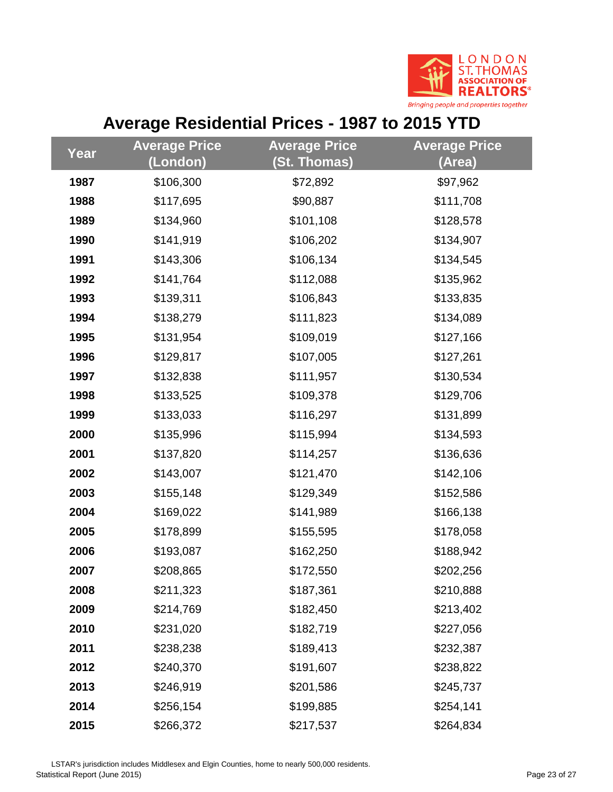

# **Average Residential Prices - 1987 to 2015 YTD**

|      | <b>Average Price</b> | <b>Average Price</b> | <b>Average Price</b> |
|------|----------------------|----------------------|----------------------|
| Year | (London)             | (St. Thomas)         | (Area)               |
| 1987 | \$106,300            | \$72,892             | \$97,962             |
| 1988 | \$117,695            | \$90,887             | \$111,708            |
| 1989 | \$134,960            | \$101,108            | \$128,578            |
| 1990 | \$141,919            | \$106,202            | \$134,907            |
| 1991 | \$143,306            | \$106,134            | \$134,545            |
| 1992 | \$141,764            | \$112,088            | \$135,962            |
| 1993 | \$139,311            | \$106,843            | \$133,835            |
| 1994 | \$138,279            | \$111,823            | \$134,089            |
| 1995 | \$131,954            | \$109,019            | \$127,166            |
| 1996 | \$129,817            | \$107,005            | \$127,261            |
| 1997 | \$132,838            | \$111,957            | \$130,534            |
| 1998 | \$133,525            | \$109,378            | \$129,706            |
| 1999 | \$133,033            | \$116,297            | \$131,899            |
| 2000 | \$135,996            | \$115,994            | \$134,593            |
| 2001 | \$137,820            | \$114,257            | \$136,636            |
| 2002 | \$143,007            | \$121,470            | \$142,106            |
| 2003 | \$155,148            | \$129,349            | \$152,586            |
| 2004 | \$169,022            | \$141,989            | \$166,138            |
| 2005 | \$178,899            | \$155,595            | \$178,058            |
| 2006 | \$193,087            | \$162,250            | \$188,942            |
| 2007 | \$208,865            | \$172,550            | \$202,256            |
| 2008 | \$211,323            | \$187,361            | \$210,888            |
| 2009 | \$214,769            | \$182,450            | \$213,402            |
| 2010 | \$231,020            | \$182,719            | \$227,056            |
| 2011 | \$238,238            | \$189,413            | \$232,387            |
| 2012 | \$240,370            | \$191,607            | \$238,822            |
| 2013 | \$246,919            | \$201,586            | \$245,737            |
| 2014 | \$256,154            | \$199,885            | \$254,141            |
| 2015 | \$266,372            | \$217,537            | \$264,834            |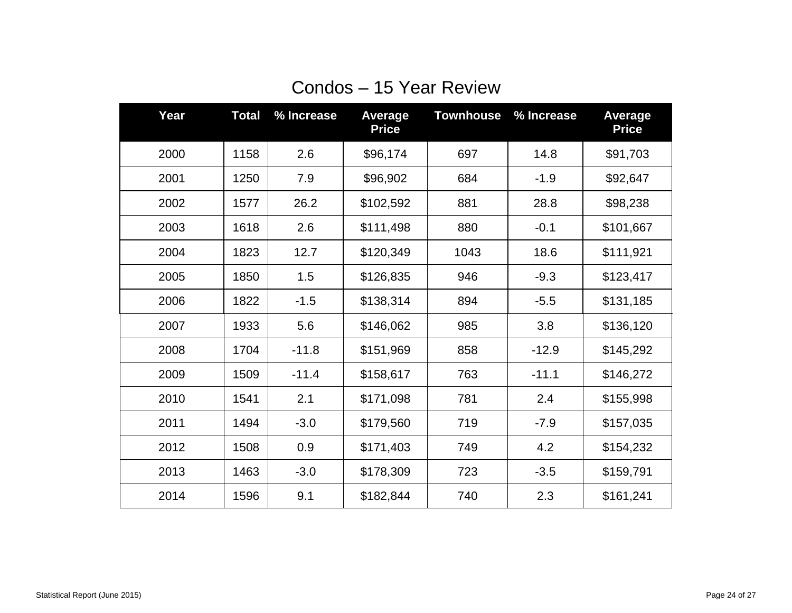| Year | <b>Total</b> | % Increase | <b>Average</b><br><b>Price</b> | <b>Townhouse</b> | % Increase | <b>Average</b><br><b>Price</b> |
|------|--------------|------------|--------------------------------|------------------|------------|--------------------------------|
| 2000 | 1158         | 2.6        | \$96,174                       | 697              | 14.8       | \$91,703                       |
| 2001 | 1250         | 7.9        | \$96,902                       | 684              | $-1.9$     | \$92,647                       |
| 2002 | 1577         | 26.2       | \$102,592                      | 881              | 28.8       | \$98,238                       |
| 2003 | 1618         | 2.6        | \$111,498                      | 880              | $-0.1$     | \$101,667                      |
| 2004 | 1823         | 12.7       | \$120,349                      | 1043             | 18.6       | \$111,921                      |
| 2005 | 1850         | 1.5        | \$126,835                      | 946              | $-9.3$     | \$123,417                      |
| 2006 | 1822         | $-1.5$     | \$138,314                      | 894              | $-5.5$     | \$131,185                      |
| 2007 | 1933         | 5.6        | \$146,062                      | 985              | 3.8        | \$136,120                      |
| 2008 | 1704         | $-11.8$    | \$151,969                      | 858              | $-12.9$    | \$145,292                      |
| 2009 | 1509         | $-11.4$    | \$158,617                      | 763              | $-11.1$    | \$146,272                      |
| 2010 | 1541         | 2.1        | \$171,098                      | 781              | 2.4        | \$155,998                      |
| 2011 | 1494         | $-3.0$     | \$179,560                      | 719              | $-7.9$     | \$157,035                      |
| 2012 | 1508         | 0.9        | \$171,403                      | 749              | 4.2        | \$154,232                      |
| 2013 | 1463         | $-3.0$     | \$178,309                      | 723              | $-3.5$     | \$159,791                      |
| 2014 | 1596         | 9.1        | \$182,844                      | 740              | 2.3        | \$161,241                      |

# Condos – 15 Year Review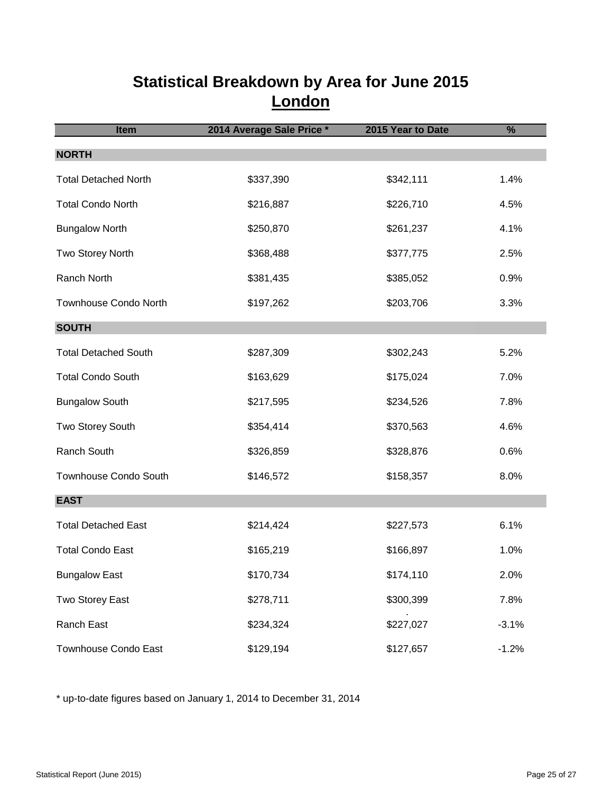#### **Statistical Breakdown by Area for June 2015 London**

| Item                         | 2014 Average Sale Price * | 2015 Year to Date | %       |
|------------------------------|---------------------------|-------------------|---------|
| <b>NORTH</b>                 |                           |                   |         |
| <b>Total Detached North</b>  | \$337,390                 | \$342,111         | 1.4%    |
| <b>Total Condo North</b>     | \$216,887                 | \$226,710         | 4.5%    |
| <b>Bungalow North</b>        | \$250,870                 | \$261,237         | 4.1%    |
| Two Storey North             | \$368,488                 | \$377,775         | 2.5%    |
| Ranch North                  | \$381,435                 | \$385,052         | 0.9%    |
| <b>Townhouse Condo North</b> | \$197,262                 | \$203,706         | 3.3%    |
| <b>SOUTH</b>                 |                           |                   |         |
| <b>Total Detached South</b>  | \$287,309                 | \$302,243         | 5.2%    |
| <b>Total Condo South</b>     | \$163,629                 | \$175,024         | 7.0%    |
| <b>Bungalow South</b>        | \$217,595                 | \$234,526         | 7.8%    |
| Two Storey South             | \$354,414                 | \$370,563         | 4.6%    |
| Ranch South                  | \$326,859                 | \$328,876         | 0.6%    |
| <b>Townhouse Condo South</b> | \$146,572                 | \$158,357         | 8.0%    |
| <b>EAST</b>                  |                           |                   |         |
| <b>Total Detached East</b>   | \$214,424                 | \$227,573         | 6.1%    |
| <b>Total Condo East</b>      | \$165,219                 | \$166,897         | 1.0%    |
| <b>Bungalow East</b>         | \$170,734                 | \$174,110         | 2.0%    |
| Two Storey East              | \$278,711                 | \$300,399         | 7.8%    |
| Ranch East                   | \$234,324                 | \$227,027         | $-3.1%$ |
| Townhouse Condo East         | \$129,194                 | \$127,657         | $-1.2%$ |

\* up-to-date figures based on January 1, 2014 to December 31, 2014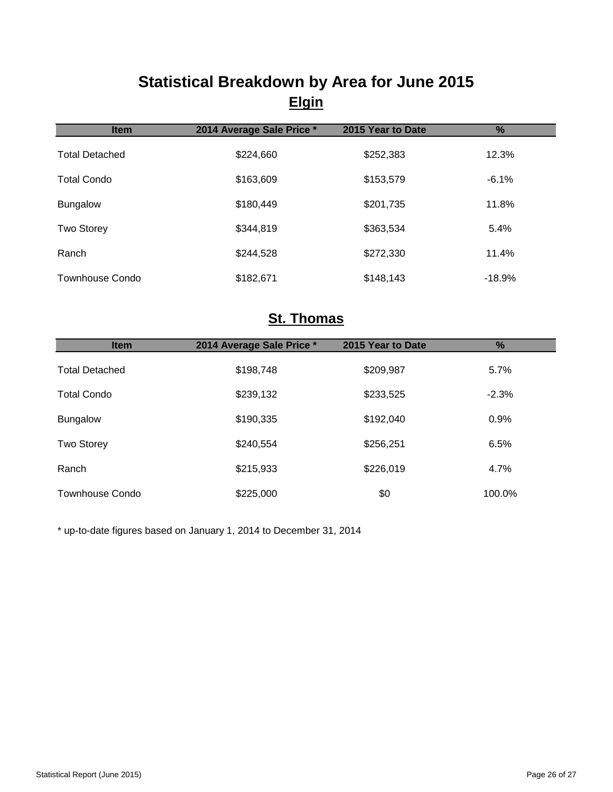### **Statistical Breakdown by Area for June 2015 Elgin**

| <b>Item</b>            | 2014 Average Sale Price * | 2015 Year to Date | $\frac{9}{6}$ |
|------------------------|---------------------------|-------------------|---------------|
| <b>Total Detached</b>  | \$224,660                 | \$252,383         | 12.3%         |
| <b>Total Condo</b>     | \$163,609                 | \$153,579         | $-6.1%$       |
| <b>Bungalow</b>        | \$180,449                 | \$201,735         | 11.8%         |
| <b>Two Storey</b>      | \$344,819                 | \$363,534         | 5.4%          |
| Ranch                  | \$244,528                 | \$272,330         | 11.4%         |
| <b>Townhouse Condo</b> | \$182,671                 | \$148,143         | $-18.9%$      |

#### **St. Thomas**

| <b>Item</b>            | 2014 Average Sale Price * | 2015 Year to Date | $\frac{9}{6}$ |
|------------------------|---------------------------|-------------------|---------------|
| <b>Total Detached</b>  | \$198,748                 | \$209,987         | 5.7%          |
| <b>Total Condo</b>     | \$239,132                 | \$233,525         | $-2.3%$       |
| <b>Bungalow</b>        | \$190,335                 | \$192,040         | 0.9%          |
| <b>Two Storey</b>      | \$240,554                 | \$256,251         | 6.5%          |
| Ranch                  | \$215,933                 | \$226,019         | 4.7%          |
| <b>Townhouse Condo</b> | \$225,000                 | \$0               | 100.0%        |

\* up-to-date figures based on January 1, 2014 to December 31, 2014